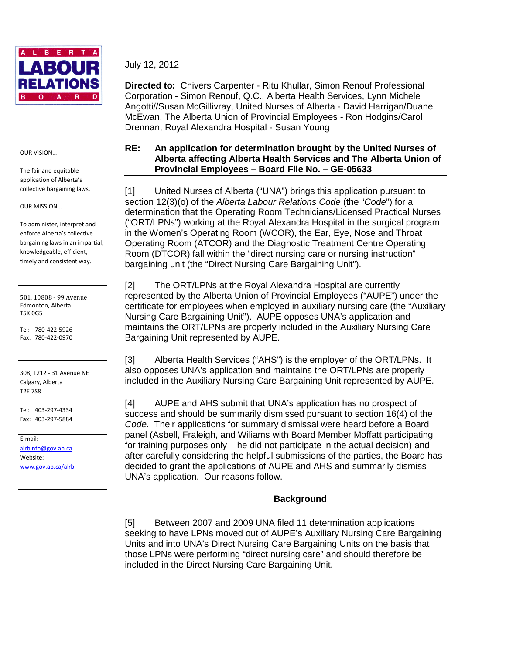

July 12, 2012

**Directed to:** Chivers Carpenter - Ritu Khullar, Simon Renouf Professional Corporation - Simon Renouf, Q.C., Alberta Health Services, Lynn Michele Angotti//Susan McGillivray, United Nurses of Alberta - David Harrigan/Duane McEwan, The Alberta Union of Provincial Employees - Ron Hodgins/Carol Drennan, Royal Alexandra Hospital - Susan Young

#### OUR VISION…

The fair and equitable application of Alberta's collective bargaining laws.

#### OUR MISSION…

To administer, interpret and enforce Alberta's collective bargaining laws in an impartial, knowledgeable, efficient, timely and consistent way.

501, 10808 - 99 Avenue Edmonton, Alberta T5K 0G5

Tel: 780-422-5926 Fax: 780-422-0970

308, 1212 - 31 Avenue NE Calgary, Alberta T2E 7S8

Tel: 403-297-4334 Fax: 403-297-5884

E-mail: alrbinfo@gov.ab.ca Website: www.gov.ab.ca/alrb

# **RE: An application for determination brought by the United Nurses of Alberta affecting Alberta Health Services and The Alberta Union of Provincial Employees – Board File No. – GE-05633**

[1] United Nurses of Alberta ("UNA") brings this application pursuant to section 12(3)(o) of the Alberta Labour Relations Code (the "Code") for a determination that the Operating Room Technicians/Licensed Practical Nurses ("ORT/LPNs") working at the Royal Alexandra Hospital in the surgical program in the Women's Operating Room (WCOR), the Ear, Eye, Nose and Throat Operating Room (ATCOR) and the Diagnostic Treatment Centre Operating Room (DTCOR) fall within the "direct nursing care or nursing instruction" bargaining unit (the "Direct Nursing Care Bargaining Unit").

[2] The ORT/LPNs at the Royal Alexandra Hospital are currently represented by the Alberta Union of Provincial Employees ("AUPE") under the certificate for employees when employed in auxiliary nursing care (the "Auxiliary Nursing Care Bargaining Unit"). AUPE opposes UNA's application and maintains the ORT/LPNs are properly included in the Auxiliary Nursing Care Bargaining Unit represented by AUPE.

[3] Alberta Health Services ("AHS") is the employer of the ORT/LPNs. It also opposes UNA's application and maintains the ORT/LPNs are properly included in the Auxiliary Nursing Care Bargaining Unit represented by AUPE.

[4] AUPE and AHS submit that UNA's application has no prospect of success and should be summarily dismissed pursuant to section 16(4) of the Code. Their applications for summary dismissal were heard before a Board panel (Asbell, Fraleigh, and Wiliams with Board Member Moffatt participating for training purposes only – he did not participate in the actual decision) and after carefully considering the helpful submissions of the parties, the Board has decided to grant the applications of AUPE and AHS and summarily dismiss UNA's application. Our reasons follow.

## **Background**

[5] Between 2007 and 2009 UNA filed 11 determination applications seeking to have LPNs moved out of AUPE's Auxiliary Nursing Care Bargaining Units and into UNA's Direct Nursing Care Bargaining Units on the basis that those LPNs were performing "direct nursing care" and should therefore be included in the Direct Nursing Care Bargaining Unit.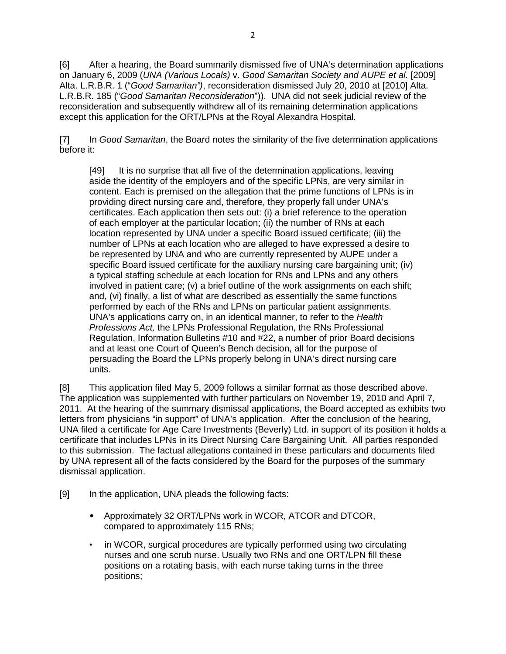[6] After a hearing, the Board summarily dismissed five of UNA's determination applications on January 6, 2009 (UNA (Various Locals) v. Good Samaritan Society and AUPE et al. [2009] Alta. L.R.B.R. 1 ("Good Samaritan"), reconsideration dismissed July 20, 2010 at [2010] Alta. L.R.B.R. 185 ("Good Samaritan Reconsideration")). UNA did not seek judicial review of the reconsideration and subsequently withdrew all of its remaining determination applications except this application for the ORT/LPNs at the Royal Alexandra Hospital.

[7] In Good Samaritan, the Board notes the similarity of the five determination applications before it:

[49] It is no surprise that all five of the determination applications, leaving aside the identity of the employers and of the specific LPNs, are very similar in content. Each is premised on the allegation that the prime functions of LPNs is in providing direct nursing care and, therefore, they properly fall under UNA's certificates. Each application then sets out: (i) a brief reference to the operation of each employer at the particular location; (ii) the number of RNs at each location represented by UNA under a specific Board issued certificate; (iii) the number of LPNs at each location who are alleged to have expressed a desire to be represented by UNA and who are currently represented by AUPE under a specific Board issued certificate for the auxiliary nursing care bargaining unit; (iv) a typical staffing schedule at each location for RNs and LPNs and any others involved in patient care; (v) a brief outline of the work assignments on each shift; and, (vi) finally, a list of what are described as essentially the same functions performed by each of the RNs and LPNs on particular patient assignments. UNA's applications carry on, in an identical manner, to refer to the Health Professions Act, the LPNs Professional Regulation, the RNs Professional Regulation, Information Bulletins #10 and #22, a number of prior Board decisions and at least one Court of Queen's Bench decision, all for the purpose of persuading the Board the LPNs properly belong in UNA's direct nursing care units.

[8] This application filed May 5, 2009 follows a similar format as those described above. The application was supplemented with further particulars on November 19, 2010 and April 7, 2011. At the hearing of the summary dismissal applications, the Board accepted as exhibits two letters from physicians "in support" of UNA's application. After the conclusion of the hearing, UNA filed a certificate for Age Care Investments (Beverly) Ltd. in support of its position it holds a certificate that includes LPNs in its Direct Nursing Care Bargaining Unit. All parties responded to this submission. The factual allegations contained in these particulars and documents filed by UNA represent all of the facts considered by the Board for the purposes of the summary dismissal application.

- [9] In the application, UNA pleads the following facts:
	- Approximately 32 ORT/LPNs work in WCOR, ATCOR and DTCOR, compared to approximately 115 RNs;
	- in WCOR, surgical procedures are typically performed using two circulating nurses and one scrub nurse. Usually two RNs and one ORT/LPN fill these positions on a rotating basis, with each nurse taking turns in the three positions;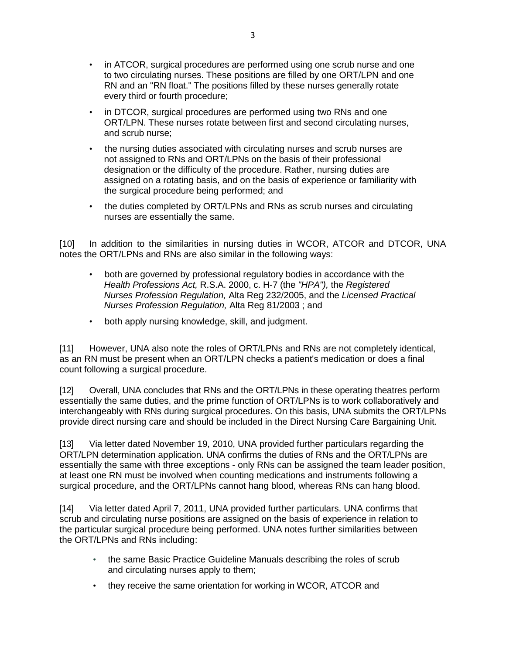- in ATCOR, surgical procedures are performed using one scrub nurse and one to two circulating nurses. These positions are filled by one ORT/LPN and one RN and an "RN float." The positions filled by these nurses generally rotate every third or fourth procedure;
- in DTCOR, surgical procedures are performed using two RNs and one ORT/LPN. These nurses rotate between first and second circulating nurses, and scrub nurse;
- the nursing duties associated with circulating nurses and scrub nurses are not assigned to RNs and ORT/LPNs on the basis of their professional designation or the difficulty of the procedure. Rather, nursing duties are assigned on a rotating basis, and on the basis of experience or familiarity with the surgical procedure being performed; and
- the duties completed by ORT/LPNs and RNs as scrub nurses and circulating nurses are essentially the same.

[10] In addition to the similarities in nursing duties in WCOR, ATCOR and DTCOR, UNA notes the ORT/LPNs and RNs are also similar in the following ways:

- both are governed by professional regulatory bodies in accordance with the Health Professions Act, R.S.A. 2000, c. H-7 (the "HPA"), the Registered Nurses Profession Regulation, Alta Reg 232/2005, and the Licensed Practical Nurses Profession Regulation, Alta Reg 81/2003 ; and
- both apply nursing knowledge, skill, and judgment.

[11] However, UNA also note the roles of ORT/LPNs and RNs are not completely identical, as an RN must be present when an ORT/LPN checks a patient's medication or does a final count following a surgical procedure.

[12] Overall, UNA concludes that RNs and the ORT/LPNs in these operating theatres perform essentially the same duties, and the prime function of ORT/LPNs is to work collaboratively and interchangeably with RNs during surgical procedures. On this basis, UNA submits the ORT/LPNs provide direct nursing care and should be included in the Direct Nursing Care Bargaining Unit.

[13] Via letter dated November 19, 2010, UNA provided further particulars regarding the ORT/LPN determination application. UNA confirms the duties of RNs and the ORT/LPNs are essentially the same with three exceptions - only RNs can be assigned the team leader position, at least one RN must be involved when counting medications and instruments following a surgical procedure, and the ORT/LPNs cannot hang blood, whereas RNs can hang blood.

[14] Via letter dated April 7, 2011, UNA provided further particulars. UNA confirms that scrub and circulating nurse positions are assigned on the basis of experience in relation to the particular surgical procedure being performed. UNA notes further similarities between the ORT/LPNs and RNs including:

- the same Basic Practice Guideline Manuals describing the roles of scrub and circulating nurses apply to them;
- they receive the same orientation for working in WCOR, ATCOR and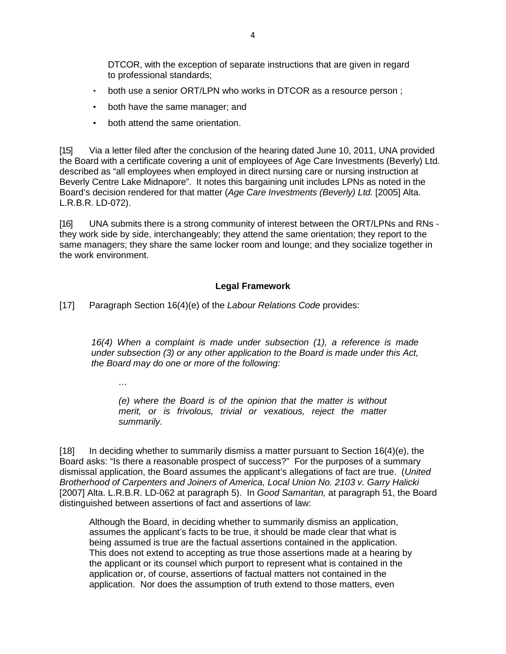DTCOR, with the exception of separate instructions that are given in regard to professional standards;

- both use a senior ORT/LPN who works in DTCOR as a resource person;
- both have the same manager; and
- both attend the same orientation.

[15] Via a letter filed after the conclusion of the hearing dated June 10, 2011, UNA provided the Board with a certificate covering a unit of employees of Age Care Investments (Beverly) Ltd. described as "all employees when employed in direct nursing care or nursing instruction at Beverly Centre Lake Midnapore". It notes this bargaining unit includes LPNs as noted in the Board's decision rendered for that matter (Age Care Investments (Beverly) Ltd. [2005] Alta. L.R.B.R. LD-072).

[16] UNA submits there is a strong community of interest between the ORT/LPNs and RNs they work side by side, interchangeably; they attend the same orientation; they report to the same managers; they share the same locker room and lounge; and they socialize together in the work environment.

## **Legal Framework**

[17] Paragraph Section 16(4)(e) of the Labour Relations Code provides:

16(4) When a complaint is made under subsection (1), a reference is made under subsection (3) or any other application to the Board is made under this Act, the Board may do one or more of the following:

…

(e) where the Board is of the opinion that the matter is without merit, or is frivolous, trivial or vexatious, reject the matter summarily.

 $[18]$  In deciding whether to summarily dismiss a matter pursuant to Section 16(4)(e), the Board asks: "Is there a reasonable prospect of success?" For the purposes of a summary dismissal application, the Board assumes the applicant's allegations of fact are true. (United Brotherhood of Carpenters and Joiners of America, Local Union No. 2103 v. Garry Halicki [2007] Alta. L.R.B.R. LD-062 at paragraph 5). In Good Samaritan, at paragraph 51, the Board distinguished between assertions of fact and assertions of law:

Although the Board, in deciding whether to summarily dismiss an application, assumes the applicant's facts to be true, it should be made clear that what is being assumed is true are the factual assertions contained in the application. This does not extend to accepting as true those assertions made at a hearing by the applicant or its counsel which purport to represent what is contained in the application or, of course, assertions of factual matters not contained in the application. Nor does the assumption of truth extend to those matters, even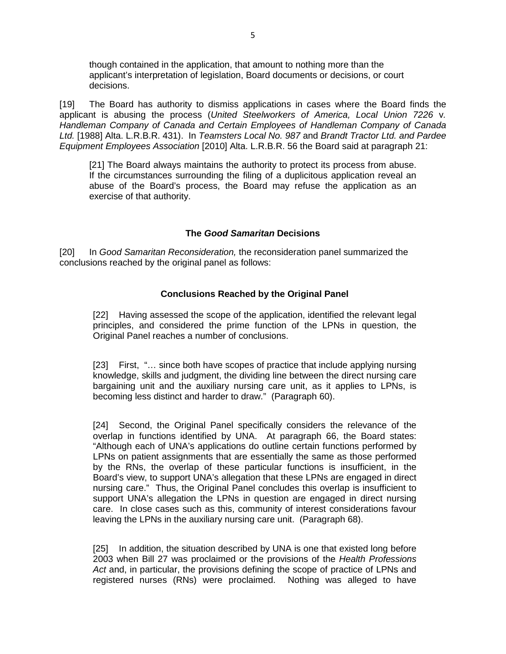though contained in the application, that amount to nothing more than the applicant's interpretation of legislation, Board documents or decisions, or court decisions.

[19] The Board has authority to dismiss applications in cases where the Board finds the applicant is abusing the process (United Steelworkers of America, Local Union 7226 v. Handleman Company of Canada and Certain Employees of Handleman Company of Canada Ltd. [1988] Alta. L.R.B.R. 431). In Teamsters Local No. 987 and Brandt Tractor Ltd. and Pardee Equipment Employees Association [2010] Alta. L.R.B.R. 56 the Board said at paragraph 21:

[21] The Board always maintains the authority to protect its process from abuse. If the circumstances surrounding the filing of a duplicitous application reveal an abuse of the Board's process, the Board may refuse the application as an exercise of that authority.

## **The Good Samaritan Decisions**

[20] In Good Samaritan Reconsideration, the reconsideration panel summarized the conclusions reached by the original panel as follows:

## **Conclusions Reached by the Original Panel**

[22] Having assessed the scope of the application, identified the relevant legal principles, and considered the prime function of the LPNs in question, the Original Panel reaches a number of conclusions.

[23] First, "… since both have scopes of practice that include applying nursing knowledge, skills and judgment, the dividing line between the direct nursing care bargaining unit and the auxiliary nursing care unit, as it applies to LPNs, is becoming less distinct and harder to draw." (Paragraph 60).

[24] Second, the Original Panel specifically considers the relevance of the overlap in functions identified by UNA. At paragraph 66, the Board states: "Although each of UNA's applications do outline certain functions performed by LPNs on patient assignments that are essentially the same as those performed by the RNs, the overlap of these particular functions is insufficient, in the Board's view, to support UNA's allegation that these LPNs are engaged in direct nursing care." Thus, the Original Panel concludes this overlap is insufficient to support UNA's allegation the LPNs in question are engaged in direct nursing care. In close cases such as this, community of interest considerations favour leaving the LPNs in the auxiliary nursing care unit. (Paragraph 68).

[25] In addition, the situation described by UNA is one that existed long before 2003 when Bill 27 was proclaimed or the provisions of the Health Professions Act and, in particular, the provisions defining the scope of practice of LPNs and registered nurses (RNs) were proclaimed. Nothing was alleged to have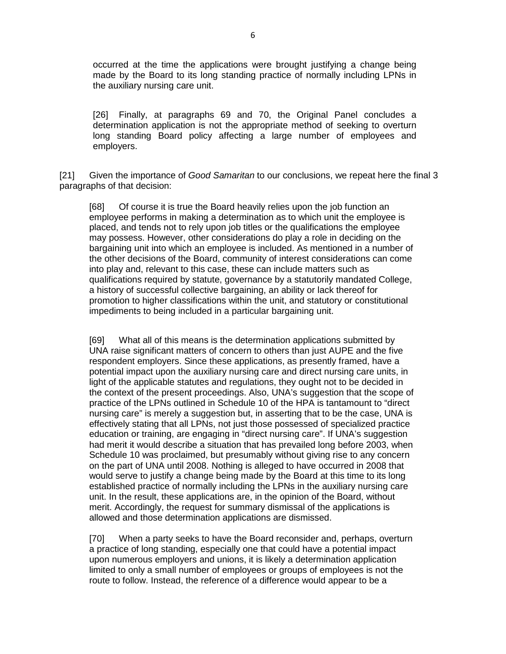occurred at the time the applications were brought justifying a change being made by the Board to its long standing practice of normally including LPNs in the auxiliary nursing care unit.

[26] Finally, at paragraphs 69 and 70, the Original Panel concludes a determination application is not the appropriate method of seeking to overturn long standing Board policy affecting a large number of employees and employers.

[21] Given the importance of Good Samaritan to our conclusions, we repeat here the final 3 paragraphs of that decision:

[68] Of course it is true the Board heavily relies upon the job function an employee performs in making a determination as to which unit the employee is placed, and tends not to rely upon job titles or the qualifications the employee may possess. However, other considerations do play a role in deciding on the bargaining unit into which an employee is included. As mentioned in a number of the other decisions of the Board, community of interest considerations can come into play and, relevant to this case, these can include matters such as qualifications required by statute, governance by a statutorily mandated College, a history of successful collective bargaining, an ability or lack thereof for promotion to higher classifications within the unit, and statutory or constitutional impediments to being included in a particular bargaining unit.

[69] What all of this means is the determination applications submitted by UNA raise significant matters of concern to others than just AUPE and the five respondent employers. Since these applications, as presently framed, have a potential impact upon the auxiliary nursing care and direct nursing care units, in light of the applicable statutes and regulations, they ought not to be decided in the context of the present proceedings. Also, UNA's suggestion that the scope of practice of the LPNs outlined in Schedule 10 of the HPA is tantamount to "direct nursing care" is merely a suggestion but, in asserting that to be the case, UNA is effectively stating that all LPNs, not just those possessed of specialized practice education or training, are engaging in "direct nursing care". If UNA's suggestion had merit it would describe a situation that has prevailed long before 2003, when Schedule 10 was proclaimed, but presumably without giving rise to any concern on the part of UNA until 2008. Nothing is alleged to have occurred in 2008 that would serve to justify a change being made by the Board at this time to its long established practice of normally including the LPNs in the auxiliary nursing care unit. In the result, these applications are, in the opinion of the Board, without merit. Accordingly, the request for summary dismissal of the applications is allowed and those determination applications are dismissed.

[70] When a party seeks to have the Board reconsider and, perhaps, overturn a practice of long standing, especially one that could have a potential impact upon numerous employers and unions, it is likely a determination application limited to only a small number of employees or groups of employees is not the route to follow. Instead, the reference of a difference would appear to be a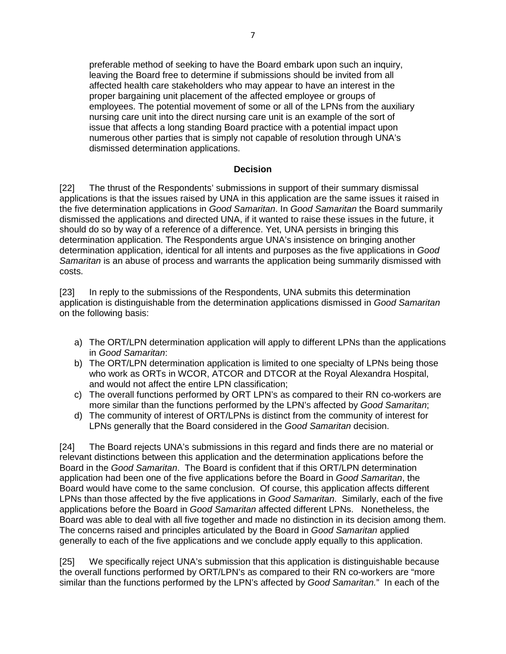preferable method of seeking to have the Board embark upon such an inquiry, leaving the Board free to determine if submissions should be invited from all affected health care stakeholders who may appear to have an interest in the proper bargaining unit placement of the affected employee or groups of employees. The potential movement of some or all of the LPNs from the auxiliary nursing care unit into the direct nursing care unit is an example of the sort of issue that affects a long standing Board practice with a potential impact upon numerous other parties that is simply not capable of resolution through UNA's dismissed determination applications.

## **Decision**

[22] The thrust of the Respondents' submissions in support of their summary dismissal applications is that the issues raised by UNA in this application are the same issues it raised in the five determination applications in Good Samaritan. In Good Samaritan the Board summarily dismissed the applications and directed UNA, if it wanted to raise these issues in the future, it should do so by way of a reference of a difference. Yet, UNA persists in bringing this determination application. The Respondents argue UNA's insistence on bringing another determination application, identical for all intents and purposes as the five applications in Good Samaritan is an abuse of process and warrants the application being summarily dismissed with costs.

[23] In reply to the submissions of the Respondents, UNA submits this determination application is distinguishable from the determination applications dismissed in Good Samaritan on the following basis:

- a) The ORT/LPN determination application will apply to different LPNs than the applications in Good Samaritan:
- b) The ORT/LPN determination application is limited to one specialty of LPNs being those who work as ORTs in WCOR, ATCOR and DTCOR at the Royal Alexandra Hospital, and would not affect the entire LPN classification;
- c) The overall functions performed by ORT LPN's as compared to their RN co-workers are more similar than the functions performed by the LPN's affected by Good Samaritan;
- d) The community of interest of ORT/LPNs is distinct from the community of interest for LPNs generally that the Board considered in the Good Samaritan decision.

[24] The Board rejects UNA's submissions in this regard and finds there are no material or relevant distinctions between this application and the determination applications before the Board in the Good Samaritan. The Board is confident that if this ORT/LPN determination application had been one of the five applications before the Board in Good Samaritan, the Board would have come to the same conclusion. Of course, this application affects different LPNs than those affected by the five applications in Good Samaritan. Similarly, each of the five applications before the Board in Good Samaritan affected different LPNs. Nonetheless, the Board was able to deal with all five together and made no distinction in its decision among them. The concerns raised and principles articulated by the Board in Good Samaritan applied generally to each of the five applications and we conclude apply equally to this application.

[25] We specifically reject UNA's submission that this application is distinguishable because the overall functions performed by ORT/LPN's as compared to their RN co-workers are "more similar than the functions performed by the LPN's affected by Good Samaritan." In each of the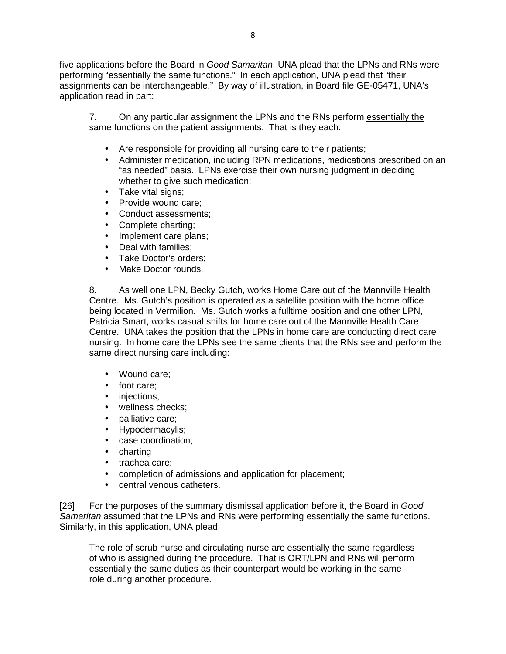five applications before the Board in Good Samaritan, UNA plead that the LPNs and RNs were performing "essentially the same functions." In each application, UNA plead that "their assignments can be interchangeable." By way of illustration, in Board file GE-05471, UNA's application read in part:

7. On any particular assignment the LPNs and the RNs perform essentially the same functions on the patient assignments. That is they each:

- Are responsible for providing all nursing care to their patients;
- Administer medication, including RPN medications, medications prescribed on an "as needed" basis. LPNs exercise their own nursing judgment in deciding whether to give such medication;
- Take vital signs:
- Provide wound care:
- Conduct assessments;
- Complete charting;
- Implement care plans;
- Deal with families;
- Take Doctor's orders;
- Make Doctor rounds.

8. As well one LPN, Becky Gutch, works Home Care out of the Mannville Health Centre. Ms. Gutch's position is operated as a satellite position with the home office being located in Vermilion. Ms. Gutch works a fulltime position and one other LPN, Patricia Smart, works casual shifts for home care out of the Mannville Health Care Centre. UNA takes the position that the LPNs in home care are conducting direct care nursing. In home care the LPNs see the same clients that the RNs see and perform the same direct nursing care including:

- Wound care;
- foot care;
- injections:
- wellness checks;
- **palliative care:**
- Hypodermacylis;
- case coordination;
- charting
- trachea care;
- completion of admissions and application for placement;
- central venous catheters.

[26] For the purposes of the summary dismissal application before it, the Board in Good Samaritan assumed that the LPNs and RNs were performing essentially the same functions. Similarly, in this application, UNA plead:

The role of scrub nurse and circulating nurse are essentially the same regardless of who is assigned during the procedure. That is ORT/LPN and RNs will perform essentially the same duties as their counterpart would be working in the same role during another procedure.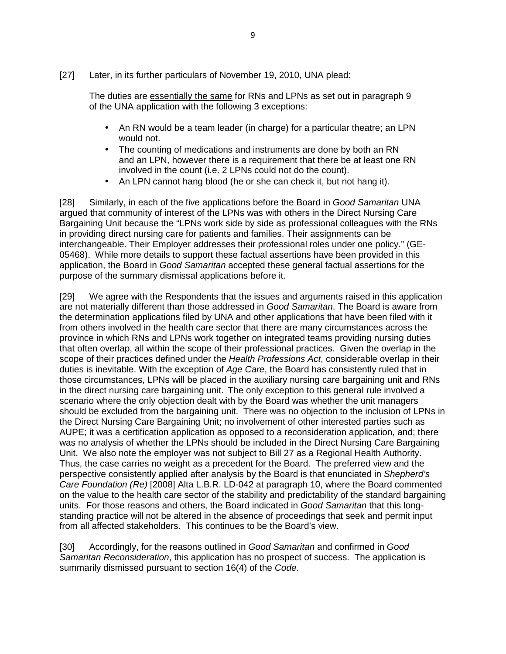[27] Later, in its further particulars of November 19, 2010, UNA plead:

The duties are essentially the same for RNs and LPNs as set out in paragraph 9 of the UNA application with the following 3 exceptions:

- An RN would be a team leader (in charge) for a particular theatre; an LPN would not.
- The counting of medications and instruments are done by both an RN and an LPN, however there is a requirement that there be at least one RN involved in the count (i.e. 2 LPNs could not do the count).
- An LPN cannot hang blood (he or she can check it, but not hang it).

[28] Similarly, in each of the five applications before the Board in Good Samaritan UNA argued that community of interest of the LPNs was with others in the Direct Nursing Care Bargaining Unit because the "LPNs work side by side as professional colleagues with the RNs in providing direct nursing care for patients and families. Their assignments can be interchangeable. Their Employer addresses their professional roles under one policy." (GE-05468). While more details to support these factual assertions have been provided in this application, the Board in Good Samaritan accepted these general factual assertions for the purpose of the summary dismissal applications before it.

[29] We agree with the Respondents that the issues and arguments raised in this application are not materially different than those addressed in Good Samaritan. The Board is aware from the determination applications filed by UNA and other applications that have been filed with it from others involved in the health care sector that there are many circumstances across the province in which RNs and LPNs work together on integrated teams providing nursing duties that often overlap, all within the scope of their professional practices. Given the overlap in the scope of their practices defined under the Health Professions Act, considerable overlap in their duties is inevitable. With the exception of Age Care, the Board has consistently ruled that in those circumstances, LPNs will be placed in the auxiliary nursing care bargaining unit and RNs in the direct nursing care bargaining unit. The only exception to this general rule involved a scenario where the only objection dealt with by the Board was whether the unit managers should be excluded from the bargaining unit. There was no objection to the inclusion of LPNs in the Direct Nursing Care Bargaining Unit; no involvement of other interested parties such as AUPE; it was a certification application as opposed to a reconsideration application, and; there was no analysis of whether the LPNs should be included in the Direct Nursing Care Bargaining Unit. We also note the employer was not subject to Bill 27 as a Regional Health Authority. Thus, the case carries no weight as a precedent for the Board. The preferred view and the perspective consistently applied after analysis by the Board is that enunciated in Shepherd's Care Foundation (Re) [2008] Alta L.B.R. LD-042 at paragraph 10, where the Board commented on the value to the health care sector of the stability and predictability of the standard bargaining units. For those reasons and others, the Board indicated in Good Samaritan that this longstanding practice will not be altered in the absence of proceedings that seek and permit input from all affected stakeholders. This continues to be the Board's view.

[30] Accordingly, for the reasons outlined in Good Samaritan and confirmed in Good Samaritan Reconsideration, this application has no prospect of success. The application is summarily dismissed pursuant to section 16(4) of the Code.